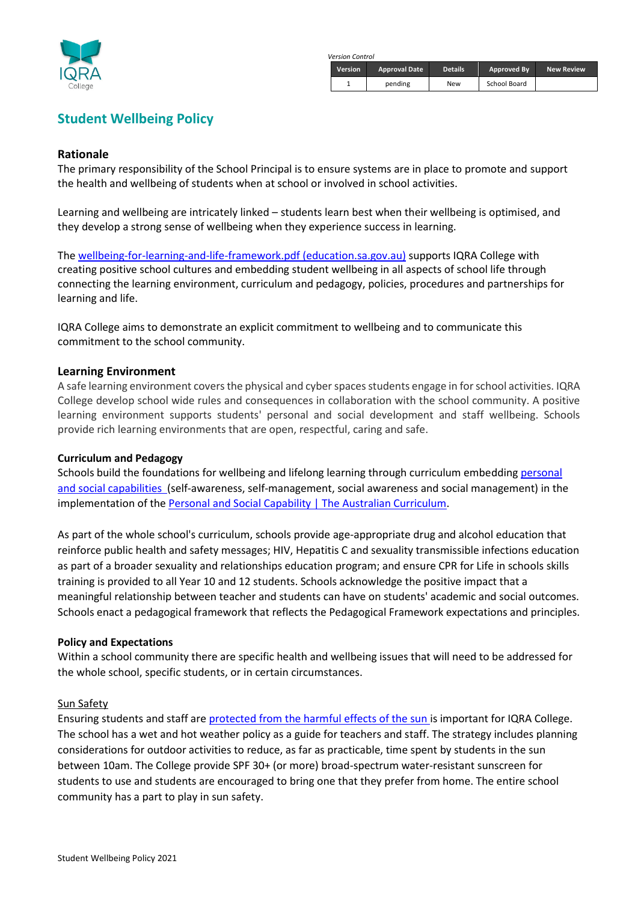

*Version Control*

| <b>Version</b> | <b>Approval Date</b> | <b>Details</b> | Approved By  | <b>New Review</b> |
|----------------|----------------------|----------------|--------------|-------------------|
|                | pending              | New            | School Board |                   |

# **Student Wellbeing Policy**

## **Rationale**

The primary responsibility of the School Principal is to ensure systems are in place to promote and support the health and wellbeing of students when at school or involved in school activities.

Learning and wellbeing are intricately linked – students learn best when their wellbeing is optimised, and they develop a strong sense of wellbeing when they experience success in learning.

The [wellbeing-for-learning-and-life-framework.pdf \(education.sa.gov.au\)](https://www.education.sa.gov.au/sites/default/files/wellbeing-for-learning-and-life-framework.pdf?v=1620369145) supports IQRA College with creating positive school cultures and embedding student wellbeing in all aspects of school life through connecting the learning environment, curriculum and pedagogy, policies, procedures and partnerships for learning and life.

IQRA College aims to demonstrate an explicit commitment to wellbeing and to communicate this commitment to the school community.

#### **Learning Environment**

A safe learning environment covers the physical and cyber spaces students engage in for school activities. IQRA College develop school wide rules and consequences in collaboration with the school community. A positive learning environment supports students' personal and social development and staff wellbeing. Schools provide rich learning environments that are open, respectful, caring and safe.

#### **Curriculum and Pedagogy**

Schools build the foundations for wellbeing and lifelong learning through curriculum embedding personal [and social capabilities \(](https://www.australiancurriculum.edu.au/f-10-curriculum/general-capabilities/personal-and-social-capability)self-awareness, self-management, social awareness and social management) in the implementation of the [Personal and Social Capability | The Australian Curriculum.](https://www.australiancurriculum.edu.au/f-10-curriculum/general-capabilities/personal-and-social-capability)

As part of the whole school's curriculum, schools provide age-appropriate drug and alcohol education that reinforce public health and safety messages; HIV, Hepatitis C and sexuality transmissible infections education as part of a broader sexuality and relationships education program; and ensure CPR for Life in schools skills training is provided to all Year 10 and 12 students. Schools acknowledge the positive impact that a meaningful relationship between teacher and students can have on students' academic and social outcomes. Schools enact a pedagogical framework that reflects the Pedagogical Framework expectations and principles.

#### **Policy and Expectations**

Within a school community there are specific health and wellbeing issues that will need to be addressed for the whole school, specific students, or in certain circumstances.

#### Sun Safety

Ensuring students and staff are [protected from the harmful effects of the sun](https://www.sa.gov.au/topics/education-and-learning/health-and-wellbeing/hot-weather-policy) is important for IQRA College. The school has a wet and hot weather policy as a guide for teachers and staff. The strategy includes planning considerations for outdoor activities to reduce, as far as practicable, time spent by students in the sun between 10am. The College provide SPF 30+ (or more) broad-spectrum water-resistant sunscreen for students to use and students are encouraged to bring one that they prefer from home. The entire school community has a part to play in sun safety.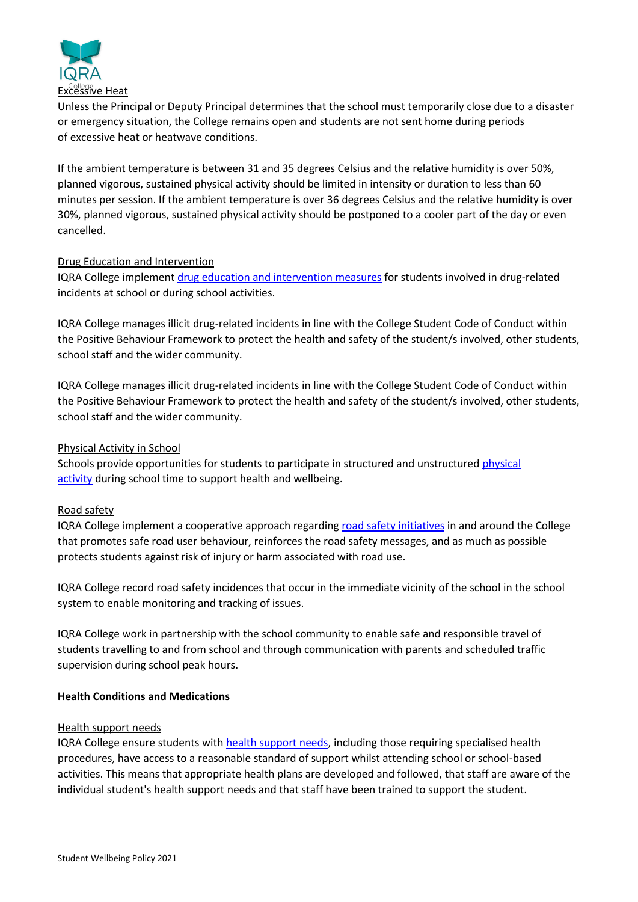

Unless the Principal or Deputy Principal determines that the school must temporarily close due to a disaster or emergency situation, the College remains open and students are not sent home during periods of excessive heat or heatwave conditions.

If the ambient temperature is between 31 and 35 degrees Celsius and the relative humidity is over 50%, planned vigorous, sustained physical activity should be limited in intensity or duration to less than 60 minutes per session. If the ambient temperature is over 36 degrees Celsius and the relative humidity is over 30%, planned vigorous, sustained physical activity should be postponed to a cooler part of the day or even cancelled.

# Drug Education and Intervention

IQRA College implement [drug education and intervention measures](https://www.sa.gov.au/topics/education-and-learning/health-and-wellbeing/drugs-and-alcohol) for students involved in drug-related incidents at school or during school activities.

IQRA College manages illicit drug-related incidents in line with the College Student Code of Conduct within the Positive Behaviour Framework to protect the health and safety of the student/s involved, other students, school staff and the wider community.

IQRA College manages illicit drug-related incidents in line with the College Student Code of Conduct within the Positive Behaviour Framework to protect the health and safety of the student/s involved, other students, school staff and the wider community.

Physical Activity in School

Schools provide opportunities for students to participate in structured and unstructured [physical](https://www.sahealth.sa.gov.au/wps/wcm/connect/public+content/sa+health+internet/healthy+living/healthy+communities/schools/schools)  [activity](https://www.sahealth.sa.gov.au/wps/wcm/connect/public+content/sa+health+internet/healthy+living/healthy+communities/schools/schools) during school time to support health and wellbeing.

# Road safety

IQRA College implement a cooperative approach regarding [road safety](https://www.police.sa.gov.au/services-and-events/community-programs/road-safety-education#:~:text=The%20SA%20Police%20Road%20Safety%20Centre%20is%20a,Journeys%20banner%2C%20to%3A%20schools%2C%20students%2C%20teachers%20and%20parents) initiatives in and around the College that promotes safe road user behaviour, reinforces the road safety messages, and as much as possible protects students against risk of injury or harm associated with road use.

IQRA College record road safety incidences that occur in the immediate vicinity of the school in the school system to enable monitoring and tracking of issues.

IQRA College work in partnership with the school community to enable safe and responsible travel of students travelling to and from school and through communication with parents and scheduled traffic supervision during school peak hours.

# **Health Conditions and Medications**

# Health support needs

IQRA College ensure students with [health support needs,](https://www.sa.gov.au/topics/education-and-learning/disability-and-special-needs/non-attendance-illness-or-injury#:~:text=%20Support%20for%20students%20with%20complex%20health%20needs,of%20absence%2C%20provide%20the%20school%20with...%20More%20) including those requiring specialised health procedures, have access to a reasonable standard of support whilst attending school or school-based activities. This means that appropriate health plans are developed and followed, that staff are aware of the individual student's health support needs and that staff have been trained to support the student.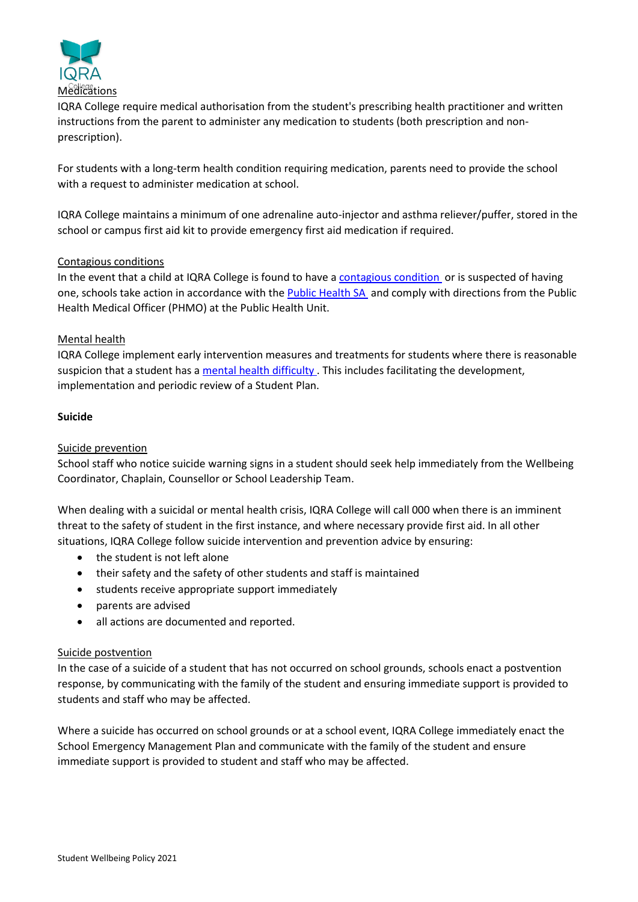

IQRA College require medical authorisation from the student's prescribing health practitioner and written instructions from the parent to administer any medication to students (both prescription and nonprescription).

For students with a long-term health condition requiring medication, parents need to provide the school with a request to administer medication at school.

IQRA College maintains a minimum of one adrenaline auto-injector and asthma reliever/puffer, stored in the school or campus first aid kit to provide emergency first aid medication if required.

## Contagious conditions

In the event that a child at IQRA College is found to have a [contagious condition](https://www.sahealth.sa.gov.au/wps/wcm/connect/public+content/sa+health+internet/conditions/infectious+diseases/exclusion+from+childcare+preschool+school+and+work) or is suspected of having one, schools take action in accordance with the [Public Health SA](https://www.sahealth.sa.gov.au/wps/wcm/connect/public+content/sa+health+internet/public+health/public+health) and comply with directions from the Public Health Medical Officer (PHMO) at the Public Health Unit.

## Mental health

IQRA College implement early intervention measures and treatments for students where there is reasonable suspicion that a student has a [mental health difficulty](https://www.sa.gov.au/topics/education-and-learning/health-and-wellbeing/mental-health-and-education-children-up-to-18) . This includes facilitating the development, implementation and periodic review of a Student Plan.

## **Suicide**

## Suicide prevention

School staff who notice suicide warning signs in a student should seek help immediately from the Wellbeing Coordinator, Chaplain, Counsellor or School Leadership Team.

When dealing with a suicidal or mental health crisis, IQRA College will call 000 when there is an imminent threat to the safety of student in the first instance, and where necessary provide first aid. In all other situations, IQRA College follow suicide intervention and prevention advice by ensuring:

- the student is not left alone
- their safety and the safety of other students and staff is maintained
- students receive appropriate support immediately
- parents are advised
- all actions are documented and reported.

#### Suicide postvention

In the case of a suicide of a student that has not occurred on school grounds, schools enact a postvention response, by communicating with the family of the student and ensuring immediate support is provided to students and staff who may be affected.

Where a suicide has occurred on school grounds or at a school event, IQRA College immediately enact the School Emergency Management Plan and communicate with the family of the student and ensure immediate support is provided to student and staff who may be affected.